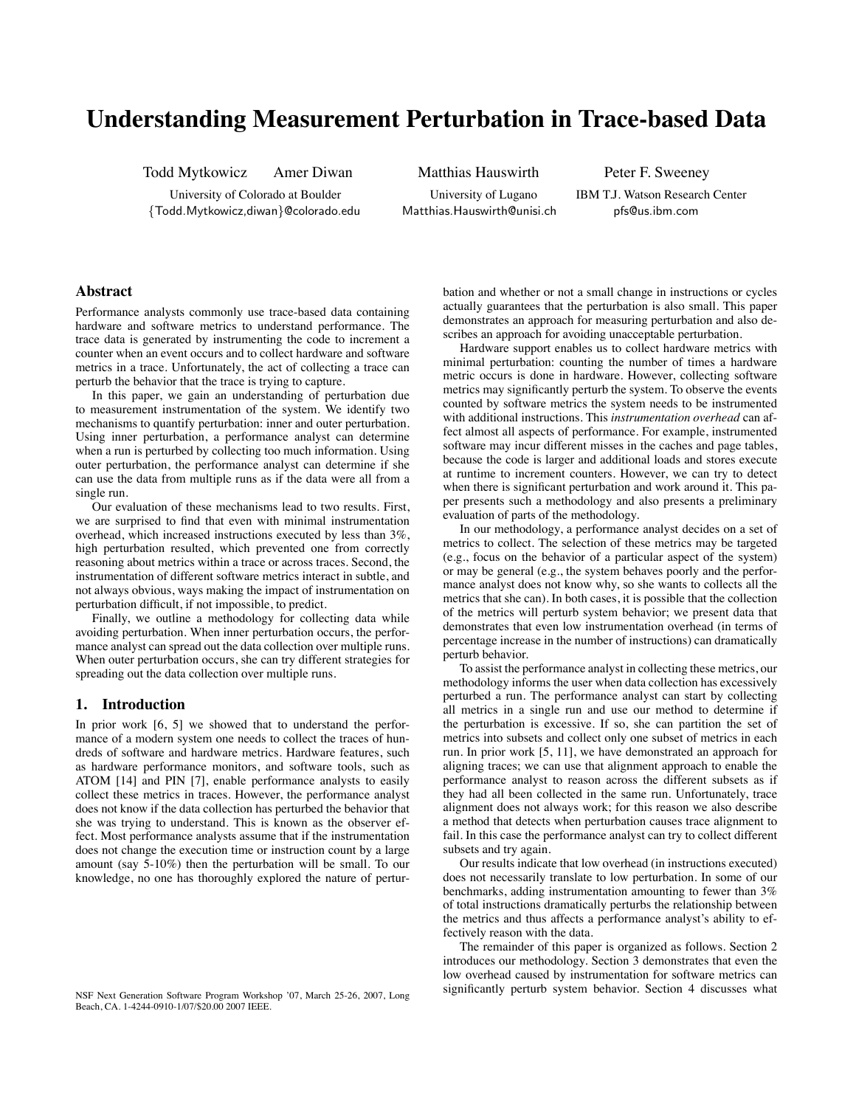# **Understanding Measurement Perturbation in Trace-based Data**

Todd Mytkowicz Amer Diwan Matthias Hauswirth Peter F. Sweeney

University of Colorado at Boulder University of Lugano IBM T.J. Watson Research Center *{*Todd.Mytkowicz,diwan*}*@colorado.edu Matthias.Hauswirth@unisi.ch pfs@us.ibm.com

# **Abstract**

Performance analysts commonly use trace-based data containing hardware and software metrics to understand performance. The trace data is generated by instrumenting the code to increment a counter when an event occurs and to collect hardware and software metrics in a trace. Unfortunately, the act of collecting a trace can perturb the behavior that the trace is trying to capture.

In this paper, we gain an understanding of perturbation due to measurement instrumentation of the system. We identify two mechanisms to quantify perturbation: inner and outer perturbation. Using inner perturbation, a performance analyst can determine when a run is perturbed by collecting too much information. Using outer perturbation, the performance analyst can determine if she can use the data from multiple runs as if the data were all from a single run.

Our evaluation of these mechanisms lead to two results. First, we are surprised to find that even with minimal instrumentation overhead, which increased instructions executed by less than 3%, high perturbation resulted, which prevented one from correctly reasoning about metrics within a trace or across traces. Second, the instrumentation of different software metrics interact in subtle, and not always obvious, ways making the impact of instrumentation on perturbation difficult, if not impossible, to predict.

Finally, we outline a methodology for collecting data while avoiding perturbation. When inner perturbation occurs, the performance analyst can spread out the data collection over multiple runs. When outer perturbation occurs, she can try different strategies for spreading out the data collection over multiple runs.

## **1. Introduction**

In prior work [6, 5] we showed that to understand the performance of a modern system one needs to collect the traces of hundreds of software and hardware metrics. Hardware features, such as hardware performance monitors, and software tools, such as ATOM [14] and PIN [7], enable performance analysts to easily collect these metrics in traces. However, the performance analyst does not know if the data collection has perturbed the behavior that she was trying to understand. This is known as the observer effect. Most performance analysts assume that if the instrumentation does not change the execution time or instruction count by a large amount (say 5-10%) then the perturbation will be small. To our knowledge, no one has thoroughly explored the nature of pertur-

NSF Next Generation Software Program Workshop '07, March 25-26, 2007, Long Beach, CA. 1-4244-0910-1/07/\$20.00 2007 IEEE.

bation and whether or not a small change in instructions or cycles actually guarantees that the perturbation is also small. This paper demonstrates an approach for measuring perturbation and also describes an approach for avoiding unacceptable perturbation.

Hardware support enables us to collect hardware metrics with minimal perturbation: counting the number of times a hardware metric occurs is done in hardware. However, collecting software metrics may significantly perturb the system. To observe the events counted by software metrics the system needs to be instrumented with additional instructions. This *instrumentation overhead* can affect almost all aspects of performance. For example, instrumented software may incur different misses in the caches and page tables, because the code is larger and additional loads and stores execute at runtime to increment counters. However, we can try to detect when there is significant perturbation and work around it. This paper presents such a methodology and also presents a preliminary evaluation of parts of the methodology.

In our methodology, a performance analyst decides on a set of metrics to collect. The selection of these metrics may be targeted (e.g., focus on the behavior of a particular aspect of the system) or may be general (e.g., the system behaves poorly and the performance analyst does not know why, so she wants to collects all the metrics that she can). In both cases, it is possible that the collection of the metrics will perturb system behavior; we present data that demonstrates that even low instrumentation overhead (in terms of percentage increase in the number of instructions) can dramatically perturb behavior.

To assist the performance analyst in collecting these metrics, our methodology informs the user when data collection has excessively perturbed a run. The performance analyst can start by collecting all metrics in a single run and use our method to determine if the perturbation is excessive. If so, she can partition the set of metrics into subsets and collect only one subset of metrics in each run. In prior work [5, 11], we have demonstrated an approach for aligning traces; we can use that alignment approach to enable the performance analyst to reason across the different subsets as if they had all been collected in the same run. Unfortunately, trace alignment does not always work; for this reason we also describe a method that detects when perturbation causes trace alignment to fail. In this case the performance analyst can try to collect different subsets and try again.

Our results indicate that low overhead (in instructions executed) does not necessarily translate to low perturbation. In some of our benchmarks, adding instrumentation amounting to fewer than 3% of total instructions dramatically perturbs the relationship between the metrics and thus affects a performance analyst's ability to effectively reason with the data.

The remainder of this paper is organized as follows. Section 2 introduces our methodology. Section 3 demonstrates that even the low overhead caused by instrumentation for software metrics can significantly perturb system behavior. Section 4 discusses what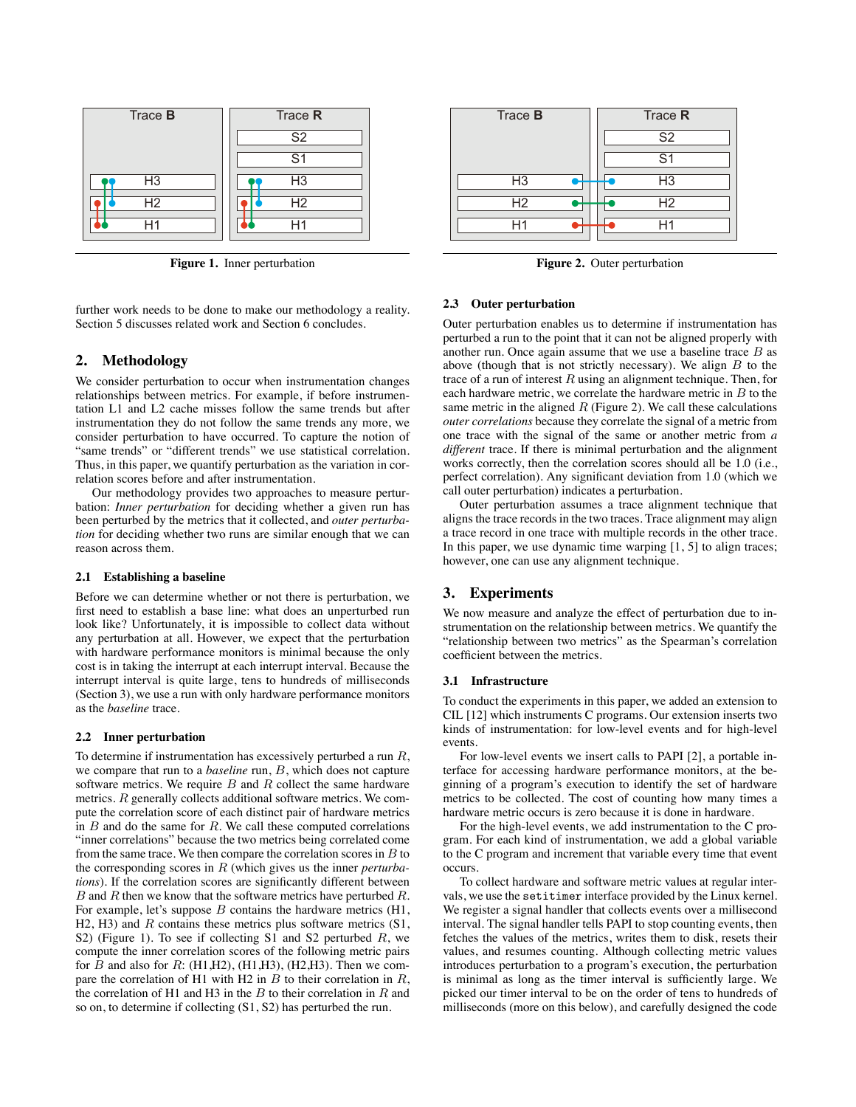

**Figure 1.** Inner perturbation

further work needs to be done to make our methodology a reality. Section 5 discusses related work and Section 6 concludes.

## **2. Methodology**

We consider perturbation to occur when instrumentation changes relationships between metrics. For example, if before instrumentation L1 and L2 cache misses follow the same trends but after instrumentation they do not follow the same trends any more, we consider perturbation to have occurred. To capture the notion of "same trends" or "different trends" we use statistical correlation. Thus, in this paper, we quantify perturbation as the variation in correlation scores before and after instrumentation.

Our methodology provides two approaches to measure perturbation: *Inner perturbation* for deciding whether a given run has been perturbed by the metrics that it collected, and *outer perturbation* for deciding whether two runs are similar enough that we can reason across them.

#### **2.1 Establishing a baseline**

Before we can determine whether or not there is perturbation, we first need to establish a base line: what does an unperturbed run look like? Unfortunately, it is impossible to collect data without any perturbation at all. However, we expect that the perturbation with hardware performance monitors is minimal because the only cost is in taking the interrupt at each interrupt interval. Because the interrupt interval is quite large, tens to hundreds of milliseconds (Section 3), we use a run with only hardware performance monitors as the *baseline* trace.

#### **2.2 Inner perturbation**

To determine if instrumentation has excessively perturbed a run *R*, we compare that run to a *baseline* run, *B*, which does not capture software metrics. We require *B* and *R* collect the same hardware metrics. *R* generally collects additional software metrics. We compute the correlation score of each distinct pair of hardware metrics in *B* and do the same for *R*. We call these computed correlations "inner correlations" because the two metrics being correlated come from the same trace. We then compare the correlation scores in *B* to the corresponding scores in *R* (which gives us the inner *perturbations*). If the correlation scores are significantly different between *B* and *R* then we know that the software metrics have perturbed *R*. For example, let's suppose *B* contains the hardware metrics (H1, H2, H3) and *R* contains these metrics plus software metrics (S1, S2) (Figure 1). To see if collecting S1 and S2 perturbed *R*, we compute the inner correlation scores of the following metric pairs for *B* and also for *R*: (H1,H2), (H1,H3), (H2,H3). Then we compare the correlation of H1 with H2 in *B* to their correlation in *R*, the correlation of H1 and H3 in the *B* to their correlation in *R* and so on, to determine if collecting (S1, S2) has perturbed the run.



**Figure 2.** Outer perturbation

#### **2.3 Outer perturbation**

Outer perturbation enables us to determine if instrumentation has perturbed a run to the point that it can not be aligned properly with another run. Once again assume that we use a baseline trace *B* as above (though that is not strictly necessary). We align *B* to the trace of a run of interest *R* using an alignment technique. Then, for each hardware metric, we correlate the hardware metric in *B* to the same metric in the aligned *R* (Figure 2). We call these calculations *outer correlations* because they correlate the signal of a metric from one trace with the signal of the same or another metric from *a different* trace. If there is minimal perturbation and the alignment works correctly, then the correlation scores should all be 1.0 (i.e., perfect correlation). Any significant deviation from 1.0 (which we call outer perturbation) indicates a perturbation.

Outer perturbation assumes a trace alignment technique that aligns the trace records in the two traces. Trace alignment may align a trace record in one trace with multiple records in the other trace. In this paper, we use dynamic time warping  $[1, 5]$  to align traces; however, one can use any alignment technique.

#### **3. Experiments**

We now measure and analyze the effect of perturbation due to instrumentation on the relationship between metrics. We quantify the "relationship between two metrics" as the Spearman's correlation coefficient between the metrics.

#### **3.1 Infrastructure**

To conduct the experiments in this paper, we added an extension to CIL [12] which instruments C programs. Our extension inserts two kinds of instrumentation: for low-level events and for high-level events.

For low-level events we insert calls to PAPI [2], a portable interface for accessing hardware performance monitors, at the beginning of a program's execution to identify the set of hardware metrics to be collected. The cost of counting how many times a hardware metric occurs is zero because it is done in hardware.

For the high-level events, we add instrumentation to the C program. For each kind of instrumentation, we add a global variable to the C program and increment that variable every time that event occurs.

To collect hardware and software metric values at regular intervals, we use the setitimer interface provided by the Linux kernel. We register a signal handler that collects events over a millisecond interval. The signal handler tells PAPI to stop counting events, then fetches the values of the metrics, writes them to disk, resets their values, and resumes counting. Although collecting metric values introduces perturbation to a program's execution, the perturbation is minimal as long as the timer interval is sufficiently large. We picked our timer interval to be on the order of tens to hundreds of milliseconds (more on this below), and carefully designed the code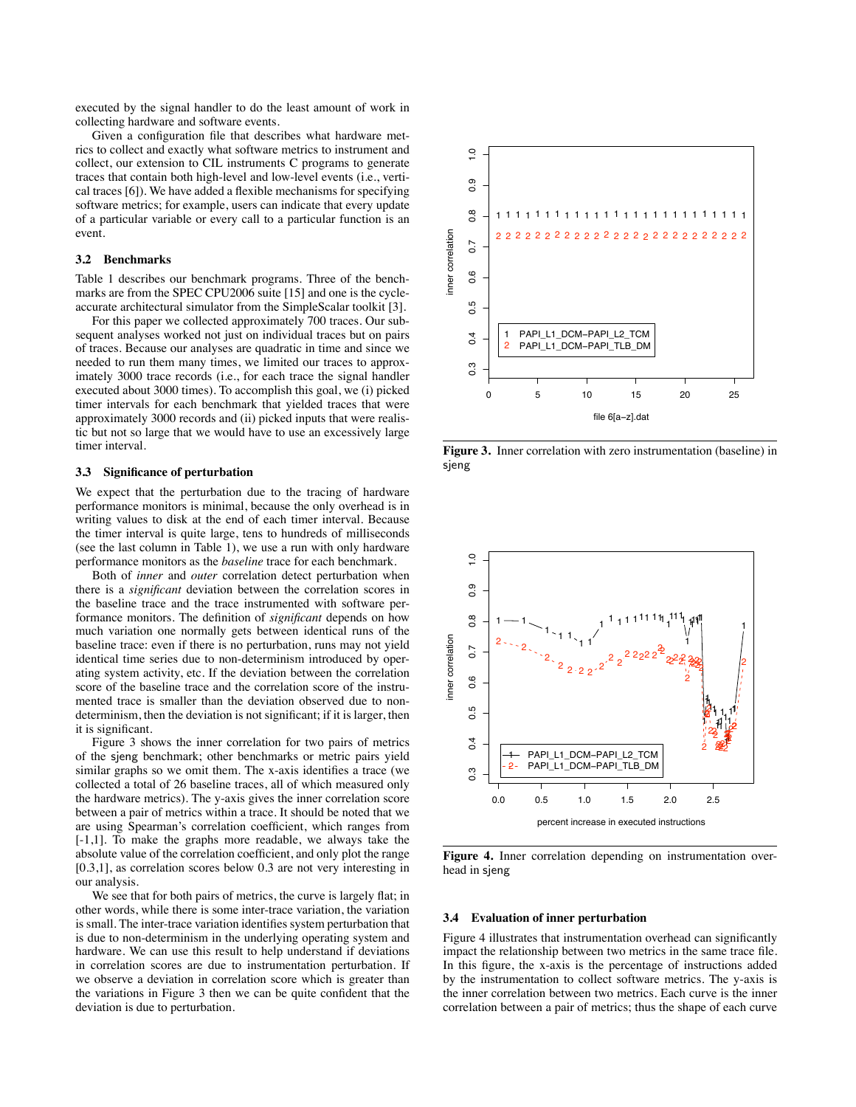executed by the signal handler to do the least amount of work in collecting hardware and software events.

Given a configuration file that describes what hardware metrics to collect and exactly what software metrics to instrument and collect, our extension to CIL instruments C programs to generate traces that contain both high-level and low-level events (i.e., vertical traces [6]). We have added a flexible mechanisms for specifying software metrics; for example, users can indicate that every update of a particular variable or every call to a particular function is an event.

#### **3.2 Benchmarks**

Table 1 describes our benchmark programs. Three of the benchmarks are from the SPEC CPU2006 suite [15] and one is the cycleaccurate architectural simulator from the SimpleScalar toolkit [3].

For this paper we collected approximately 700 traces. Our subsequent analyses worked not just on individual traces but on pairs of traces. Because our analyses are quadratic in time and since we needed to run them many times, we limited our traces to approximately 3000 trace records (i.e., for each trace the signal handler executed about 3000 times). To accomplish this goal, we (i) picked timer intervals for each benchmark that yielded traces that were approximately 3000 records and (ii) picked inputs that were realistic but not so large that we would have to use an excessively large timer interval.

#### **3.3 Significance of perturbation**

We expect that the perturbation due to the tracing of hardware performance monitors is minimal, because the only overhead is in writing values to disk at the end of each timer interval. Because the timer interval is quite large, tens to hundreds of milliseconds (see the last column in Table 1), we use a run with only hardware performance monitors as the *baseline* trace for each benchmark.

Both of *inner* and *outer* correlation detect perturbation when there is a *significant* deviation between the correlation scores in the baseline trace and the trace instrumented with software performance monitors. The definition of *significant* depends on how much variation one normally gets between identical runs of the baseline trace: even if there is no perturbation, runs may not yield identical time series due to non-determinism introduced by operating system activity, etc. If the deviation between the correlation score of the baseline trace and the correlation score of the instrumented trace is smaller than the deviation observed due to nondeterminism, then the deviation is not significant; if it is larger, then it is significant.

Figure 3 shows the inner correlation for two pairs of metrics of the sjeng benchmark; other benchmarks or metric pairs yield similar graphs so we omit them. The x-axis identifies a trace (we collected a total of 26 baseline traces, all of which measured only the hardware metrics). The y-axis gives the inner correlation score between a pair of metrics within a trace. It should be noted that we are using Spearman's correlation coefficient, which ranges from [-1,1]. To make the graphs more readable, we always take the absolute value of the correlation coefficient, and only plot the range [0.3,1], as correlation scores below 0.3 are not very interesting in our analysis.

We see that for both pairs of metrics, the curve is largely flat; in other words, while there is some inter-trace variation, the variation is small. The inter-trace variation identifies system perturbation that is due to non-determinism in the underlying operating system and hardware. We can use this result to help understand if deviations in correlation scores are due to instrumentation perturbation. If we observe a deviation in correlation score which is greater than the variations in Figure 3 then we can be quite confident that the deviation is due to perturbation.



**Figure 3.** Inner correlation with zero instrumentation (baseline) in sjeng



**Figure 4.** Inner correlation depending on instrumentation overhead in sjeng

#### **3.4 Evaluation of inner perturbation**

Figure 4 illustrates that instrumentation overhead can significantly impact the relationship between two metrics in the same trace file. In this figure, the x-axis is the percentage of instructions added by the instrumentation to collect software metrics. The y-axis is the inner correlation between two metrics. Each curve is the inner correlation between a pair of metrics; thus the shape of each curve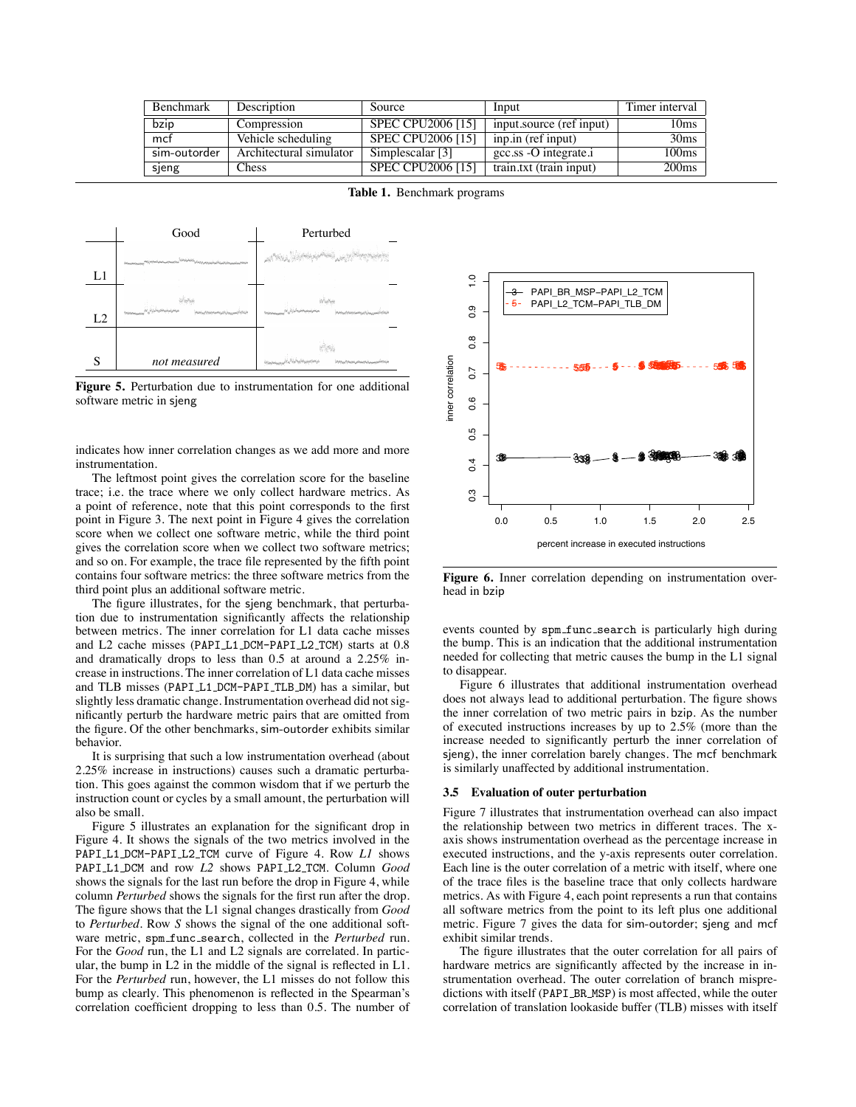| Benchmark    | Description             | Source                   | Input                    | Timer interval    |
|--------------|-------------------------|--------------------------|--------------------------|-------------------|
| bzip         | Compression             | <b>SPEC CPU2006 [15]</b> | input.source (ref input) | 10 <sub>ms</sub>  |
| mcf          | Vehicle scheduling      | SPEC CPU2006 [15]        | inp.in (ref input)       | 30ms              |
| sim-outorder | Architectural simulator | Simplescalar [3]         | gcc.ss -O integrate.i    | 100 <sub>ms</sub> |
| sjeng        | Chess                   | <b>SPEC CPU2006 [15]</b> | train.txt (train input)  | 200 <sub>ms</sub> |

**Table 1.** Benchmark programs



**Figure 5.** Perturbation due to instrumentation for one additional software metric in sjeng

indicates how inner correlation changes as we add more and more instrumentation.

The leftmost point gives the correlation score for the baseline trace; i.e. the trace where we only collect hardware metrics. As a point of reference, note that this point corresponds to the first point in Figure 3. The next point in Figure 4 gives the correlation score when we collect one software metric, while the third point gives the correlation score when we collect two software metrics; and so on. For example, the trace file represented by the fifth point contains four software metrics: the three software metrics from the third point plus an additional software metric.

The figure illustrates, for the sjeng benchmark, that perturbation due to instrumentation significantly affects the relationship between metrics. The inner correlation for L1 data cache misses and L2 cache misses (PAPI L1 DCM-PAPI L2 TCM) starts at 0.8 and dramatically drops to less than 0.5 at around a 2.25% increase in instructions. The inner correlation of L1 data cache misses and TLB misses (PAPI L1 DCM-PAPI TLB DM) has a similar, but slightly less dramatic change. Instrumentation overhead did not significantly perturb the hardware metric pairs that are omitted from the figure. Of the other benchmarks, sim-outorder exhibits similar behavior.

It is surprising that such a low instrumentation overhead (about 2.25% increase in instructions) causes such a dramatic perturbation. This goes against the common wisdom that if we perturb the instruction count or cycles by a small amount, the perturbation will also be small.

Figure 5 illustrates an explanation for the significant drop in Figure 4. It shows the signals of the two metrics involved in the PAPI L1 DCM-PAPI L2 TCM curve of Figure 4. Row *L1* shows PAPI L1 DCM and row *L2* shows PAPI L2 TCM. Column *Good* shows the signals for the last run before the drop in Figure 4, while column *Perturbed* shows the signals for the first run after the drop. The figure shows that the L1 signal changes drastically from *Good* to *Perturbed*. Row *S* shows the signal of the one additional software metric, spm func search, collected in the *Perturbed* run. For the *Good* run, the L1 and L2 signals are correlated. In particular, the bump in L2 in the middle of the signal is reflected in L1. For the *Perturbed* run, however, the L1 misses do not follow this bump as clearly. This phenomenon is reflected in the Spearman's correlation coefficient dropping to less than 0.5. The number of



**Figure 6.** Inner correlation depending on instrumentation overhead in bzip

events counted by spm func search is particularly high during the bump. This is an indication that the additional instrumentation needed for collecting that metric causes the bump in the L1 signal to disappear.

Figure 6 illustrates that additional instrumentation overhead does not always lead to additional perturbation. The figure shows the inner correlation of two metric pairs in bzip. As the number of executed instructions increases by up to 2.5% (more than the increase needed to significantly perturb the inner correlation of sjeng), the inner correlation barely changes. The mcf benchmark is similarly unaffected by additional instrumentation.

#### **3.5 Evaluation of outer perturbation**

Figure 7 illustrates that instrumentation overhead can also impact the relationship between two metrics in different traces. The xaxis shows instrumentation overhead as the percentage increase in executed instructions, and the y-axis represents outer correlation. Each line is the outer correlation of a metric with itself, where one of the trace files is the baseline trace that only collects hardware metrics. As with Figure 4, each point represents a run that contains all software metrics from the point to its left plus one additional metric. Figure 7 gives the data for sim-outorder; sjeng and mcf exhibit similar trends.

The figure illustrates that the outer correlation for all pairs of hardware metrics are significantly affected by the increase in instrumentation overhead. The outer correlation of branch mispredictions with itself (PAPI BR MSP) is most affected, while the outer correlation of translation lookaside buffer (TLB) misses with itself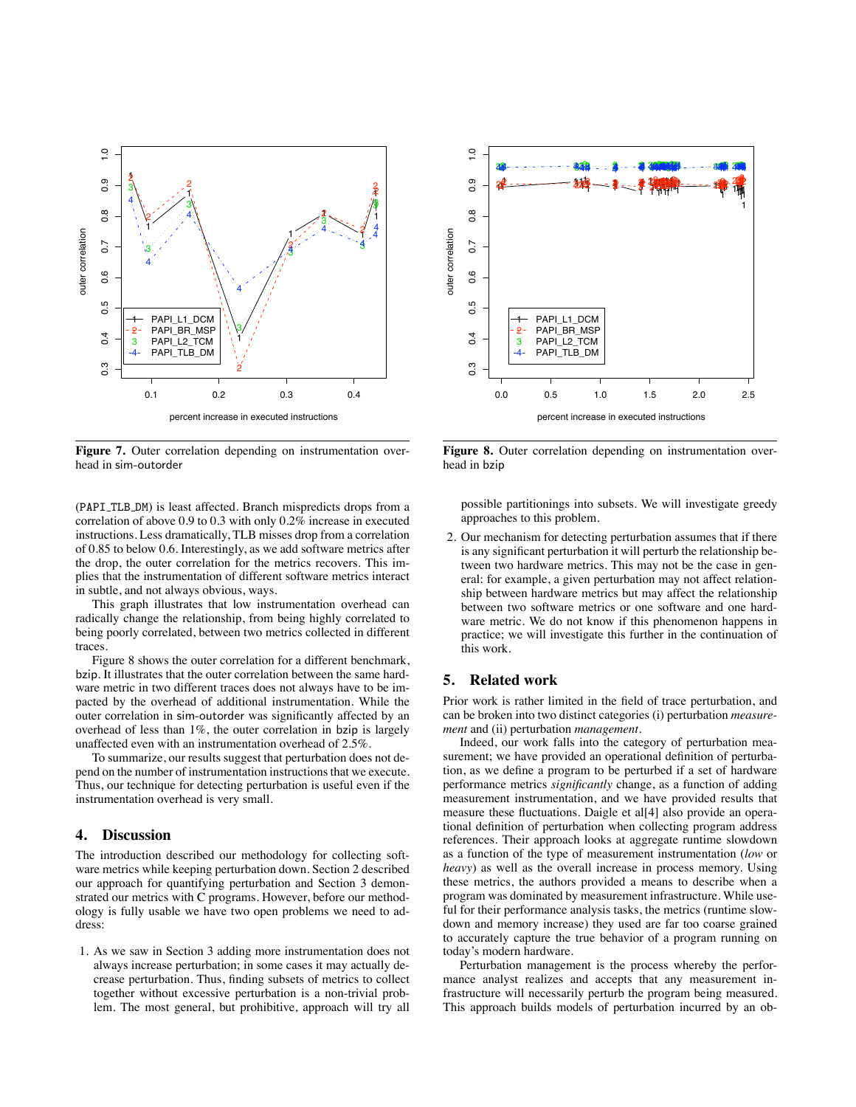

**Figure 7.** Outer correlation depending on instrumentation overhead in sim-outorder

(PAPI TLB DM) is least affected. Branch mispredicts drops from a correlation of above 0.9 to 0.3 with only 0.2% increase in executed instructions. Less dramatically, TLB misses drop from a correlation of 0.85 to below 0.6. Interestingly, as we add software metrics after the drop, the outer correlation for the metrics recovers. This implies that the instrumentation of different software metrics interact in subtle, and not always obvious, ways.

This graph illustrates that low instrumentation overhead can radically change the relationship, from being highly correlated to being poorly correlated, between two metrics collected in different traces.

Figure 8 shows the outer correlation for a different benchmark, bzip. It illustrates that the outer correlation between the same hardware metric in two different traces does not always have to be impacted by the overhead of additional instrumentation. While the outer correlation in sim-outorder was significantly affected by an overhead of less than 1%, the outer correlation in bzip is largely unaffected even with an instrumentation overhead of 2.5%.

To summarize, our results suggest that perturbation does not depend on the number of instrumentation instructions that we execute. Thus, our technique for detecting perturbation is useful even if the instrumentation overhead is very small.

### **4. Discussion**

The introduction described our methodology for collecting software metrics while keeping perturbation down. Section 2 described our approach for quantifying perturbation and Section 3 demonstrated our metrics with C programs. However, before our methodology is fully usable we have two open problems we need to address:

1. As we saw in Section 3 adding more instrumentation does not always increase perturbation; in some cases it may actually decrease perturbation. Thus, finding subsets of metrics to collect together without excessive perturbation is a non-trivial problem. The most general, but prohibitive, approach will try all



**Figure 8.** Outer correlation depending on instrumentation overhead in bzip

possible partitionings into subsets. We will investigate greedy approaches to this problem.

2. Our mechanism for detecting perturbation assumes that if there is any significant perturbation it will perturb the relationship between two hardware metrics. This may not be the case in general: for example, a given perturbation may not affect relationship between hardware metrics but may affect the relationship between two software metrics or one software and one hardware metric. We do not know if this phenomenon happens in practice; we will investigate this further in the continuation of this work.

## **5. Related work**

Prior work is rather limited in the field of trace perturbation, and can be broken into two distinct categories (i) perturbation *measurement* and (ii) perturbation *management*.

Indeed, our work falls into the category of perturbation measurement; we have provided an operational definition of perturbation, as we define a program to be perturbed if a set of hardware performance metrics *significantly* change, as a function of adding measurement instrumentation, and we have provided results that measure these fluctuations. Daigle et al[4] also provide an operational definition of perturbation when collecting program address references. Their approach looks at aggregate runtime slowdown as a function of the type of measurement instrumentation (*low* or *heavy*) as well as the overall increase in process memory. Using these metrics, the authors provided a means to describe when a program was dominated by measurement infrastructure. While useful for their performance analysis tasks, the metrics (runtime slowdown and memory increase) they used are far too coarse grained to accurately capture the true behavior of a program running on today's modern hardware.

Perturbation management is the process whereby the performance analyst realizes and accepts that any measurement infrastructure will necessarily perturb the program being measured. This approach builds models of perturbation incurred by an ob